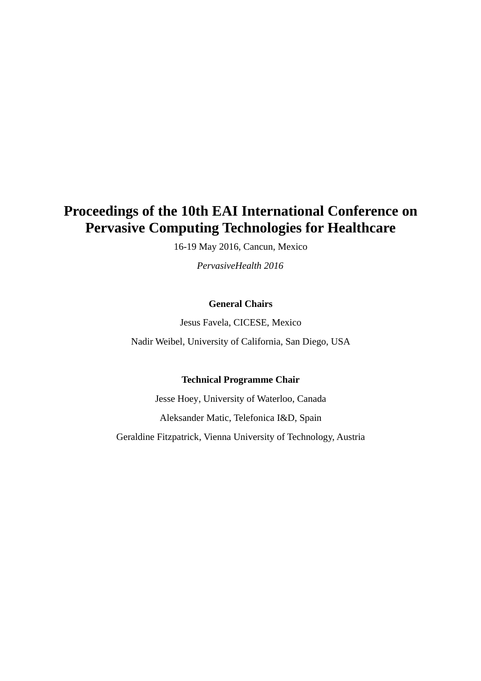# **Proceedings of the 10th EAI International Conference on Pervasive Computing Technologies for Healthcare**

16-19 May 2016, Cancun, Mexico

*PervasiveHealth 2016*

### **General Chairs**

Jesus Favela, CICESE, Mexico

Nadir Weibel, University of California, San Diego, USA

#### **Technical Programme Chair**

Jesse Hoey, University of Waterloo, Canada Aleksander Matic, Telefonica I&D, Spain Geraldine Fitzpatrick, Vienna University of Technology, Austria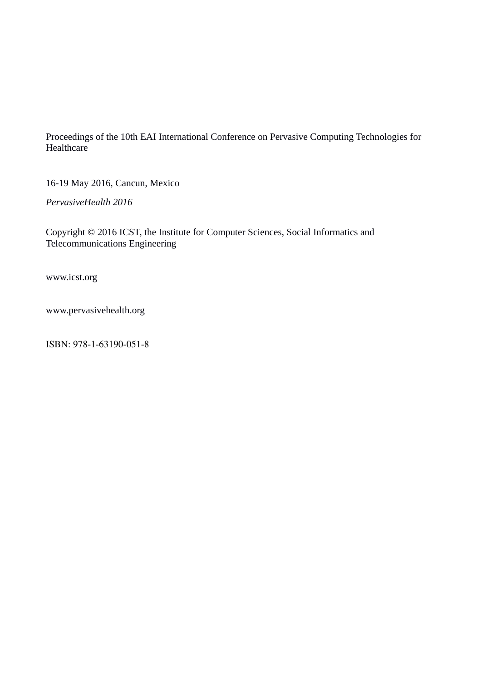Proceedings of the 10th EAI International Conference on Pervasive Computing Technologies for Healthcare

16-19 May 2016, Cancun, Mexico

*PervasiveHealth 2016*

Copyright © 2016 ICST, the Institute for Computer Sciences, Social Informatics and Telecommunications Engineering

www.icst.org

www.pervasivehealth.org

ISBN: 978-1-63190-051-8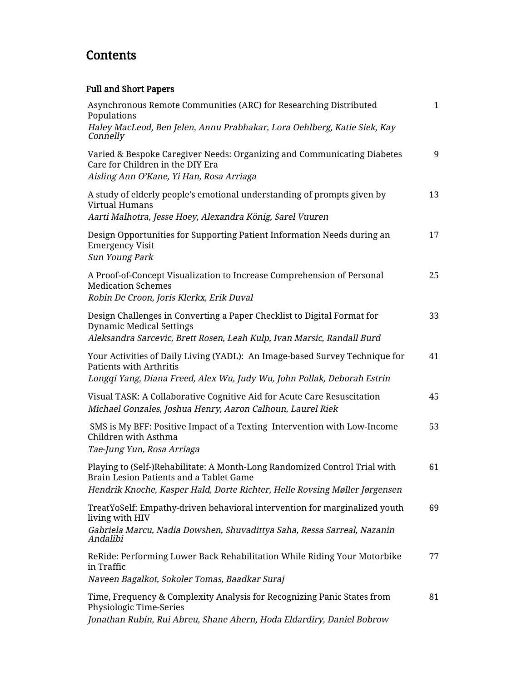# **Contents**

## Full and Short Papers

| Asynchronous Remote Communities (ARC) for Researching Distributed<br>Populations                                                                                                                    | $\mathbf{1}$ |
|-----------------------------------------------------------------------------------------------------------------------------------------------------------------------------------------------------|--------------|
| Haley MacLeod, Ben Jelen, Annu Prabhakar, Lora Oehlberg, Katie Siek, Kay<br>Connelly                                                                                                                |              |
| Varied & Bespoke Caregiver Needs: Organizing and Communicating Diabetes<br>Care for Children in the DIY Era<br>Aisling Ann O'Kane, Yi Han, Rosa Arriaga                                             | 9            |
| A study of elderly people's emotional understanding of prompts given by<br>Virtual Humans<br>Aarti Malhotra, Jesse Hoey, Alexandra König, Sarel Vuuren                                              | 13           |
| Design Opportunities for Supporting Patient Information Needs during an<br><b>Emergency Visit</b><br>Sun Young Park                                                                                 | 17           |
| A Proof-of-Concept Visualization to Increase Comprehension of Personal<br><b>Medication Schemes</b><br>Robin De Croon, Joris Klerkx, Erik Duval                                                     | 25           |
| Design Challenges in Converting a Paper Checklist to Digital Format for<br><b>Dynamic Medical Settings</b><br>Aleksandra Sarcevic, Brett Rosen, Leah Kulp, Ivan Marsic, Randall Burd                | 33           |
| Your Activities of Daily Living (YADL): An Image-based Survey Technique for<br><b>Patients with Arthritis</b><br>Longqi Yang, Diana Freed, Alex Wu, Judy Wu, John Pollak, Deborah Estrin            | 41           |
| Visual TASK: A Collaborative Cognitive Aid for Acute Care Resuscitation<br>Michael Gonzales, Joshua Henry, Aaron Calhoun, Laurel Riek                                                               | 45           |
| SMS is My BFF: Positive Impact of a Texting Intervention with Low-Income<br>Children with Asthma<br>Tae-Jung Yun, Rosa Arriaga                                                                      | 53           |
| Playing to (Self-)Rehabilitate: A Month-Long Randomized Control Trial with<br>Brain Lesion Patients and a Tablet Game<br>Hendrik Knoche, Kasper Hald, Dorte Richter, Helle Rovsing Møller Jørgensen | 61           |
| TreatYoSelf: Empathy-driven behavioral intervention for marginalized youth<br>living with HIV<br>Gabriela Marcu, Nadia Dowshen, Shuvadittya Saha, Ressa Sarreal, Nazanin<br>Andalibi                | 69           |
| ReRide: Performing Lower Back Rehabilitation While Riding Your Motorbike<br>in Traffic<br>Naveen Bagalkot, Sokoler Tomas, Baadkar Suraj                                                             | 77           |
| Time, Frequency & Complexity Analysis for Recognizing Panic States from<br>Physiologic Time-Series<br>Jonathan Rubin, Rui Abreu, Shane Ahern, Hoda Eldardiry, Daniel Bobrow                         | 81           |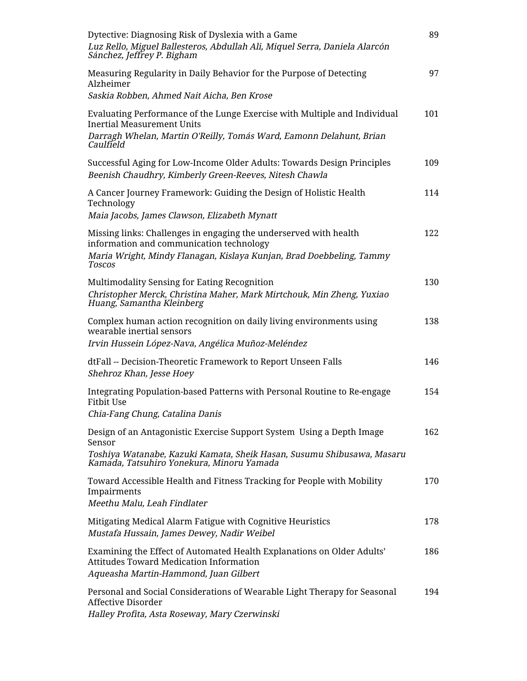| Dytective: Diagnosing Risk of Dyslexia with a Game<br>Luz Rello, Miguel Ballesteros, Abdullah Ali, Miquel Serra, Daniela Alarcón<br>Sánchez, Jeffrey P. Bigham                                         | 89  |
|--------------------------------------------------------------------------------------------------------------------------------------------------------------------------------------------------------|-----|
| Measuring Regularity in Daily Behavior for the Purpose of Detecting<br>Alzheimer<br>Saskia Robben, Ahmed Nait Aicha, Ben Krose                                                                         | 97  |
| Evaluating Performance of the Lunge Exercise with Multiple and Individual<br><b>Inertial Measurement Units</b><br>Darragh Whelan, Martin O'Reilly, Tomás Ward, Eamonn Delahunt, Brian<br>Caulfield     | 101 |
| Successful Aging for Low-Income Older Adults: Towards Design Principles<br>Beenish Chaudhry, Kimberly Green-Reeves, Nitesh Chawla                                                                      | 109 |
| A Cancer Journey Framework: Guiding the Design of Holistic Health<br>Technology<br>Maia Jacobs, James Clawson, Elizabeth Mynatt                                                                        | 114 |
| Missing links: Challenges in engaging the underserved with health<br>information and communication technology<br>Maria Wright, Mindy Flanagan, Kislaya Kunjan, Brad Doebbeling, Tammy<br><b>Toscos</b> | 122 |
| Multimodality Sensing for Eating Recognition<br>Christopher Merck, Christina Maher, Mark Mirtchouk, Min Zheng, Yuxiao<br>Huang, Samantha Kleinberg                                                     | 130 |
| Complex human action recognition on daily living environments using<br>wearable inertial sensors<br>Irvin Hussein López-Nava, Angélica Muñoz-Meléndez                                                  | 138 |
| dtFall -- Decision-Theoretic Framework to Report Unseen Falls<br>Shehroz Khan, Jesse Hoey                                                                                                              | 146 |
| Integrating Population-based Patterns with Personal Routine to Re-engage<br><b>Fitbit Use</b><br>Chia-Fang Chung, Catalina Danis                                                                       | 154 |
| Design of an Antagonistic Exercise Support System Using a Depth Image<br>Sensor                                                                                                                        | 162 |
| Toshiya Watanabe, Kazuki Kamata, Sheik Hasan, Susumu Shibusawa, Masaru<br>Kamada, Tatsuhiro Yonekura, Minoru Yamada                                                                                    |     |
| Toward Accessible Health and Fitness Tracking for People with Mobility<br>Impairments<br>Meethu Malu, Leah Findlater                                                                                   | 170 |
| Mitigating Medical Alarm Fatigue with Cognitive Heuristics<br>Mustafa Hussain, James Dewey, Nadir Weibel                                                                                               | 178 |
| Examining the Effect of Automated Health Explanations on Older Adults'<br><b>Attitudes Toward Medication Information</b><br>Aqueasha Martin-Hammond, Juan Gilbert                                      | 186 |
| Personal and Social Considerations of Wearable Light Therapy for Seasonal<br><b>Affective Disorder</b><br>Halley Profita, Asta Roseway, Mary Czerwinski                                                | 194 |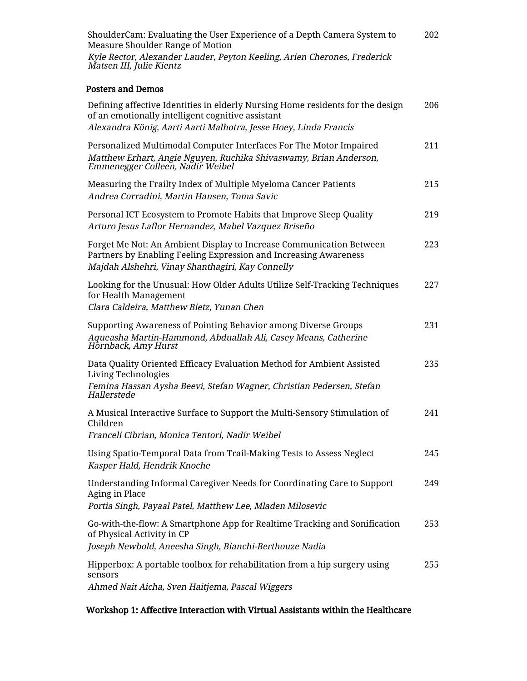| ShoulderCam: Evaluating the User Experience of a Depth Camera System to<br>Measure Shoulder Range of Motion | 202 |
|-------------------------------------------------------------------------------------------------------------|-----|
| Kyle Rector, Alexander Lauder, Peyton Keeling, Arien Cherones, Frederick<br>Matsen III, Julie Kientz        |     |

### Posters and Demos

| Defining affective Identities in elderly Nursing Home residents for the design<br>of an emotionally intelligent cognitive assistant<br>Alexandra König, Aarti Aarti Malhotra, Jesse Hoey, Linda Francis | 206 |
|---------------------------------------------------------------------------------------------------------------------------------------------------------------------------------------------------------|-----|
| Personalized Multimodal Computer Interfaces For The Motor Impaired<br>Matthew Erhart, Angie Nguyen, Ruchika Shivaswamy, Brian Anderson,<br>Emmenegger Colleen, Nadir Weibel                             | 211 |
| Measuring the Frailty Index of Multiple Myeloma Cancer Patients<br>Andrea Corradini, Martin Hansen, Toma Savic                                                                                          | 215 |
| Personal ICT Ecosystem to Promote Habits that Improve Sleep Quality<br>Arturo Jesus Laflor Hernandez, Mabel Vazquez Briseño                                                                             | 219 |
| Forget Me Not: An Ambient Display to Increase Communication Between<br>Partners by Enabling Feeling Expression and Increasing Awareness<br>Majdah Alshehri, Vinay Shanthagiri, Kay Connelly             | 223 |
| Looking for the Unusual: How Older Adults Utilize Self-Tracking Techniques<br>for Health Management<br>Clara Caldeira, Matthew Bietz, Yunan Chen                                                        | 227 |
| Supporting Awareness of Pointing Behavior among Diverse Groups<br>Aqueasha Martin-Hammond, Abduallah Ali, Casey Means, Catherine<br>Hornback, Amy Hurst                                                 | 231 |
| Data Quality Oriented Efficacy Evaluation Method for Ambient Assisted<br>Living Technologies<br>Femina Hassan Aysha Beevi, Stefan Wagner, Christian Pedersen, Stefan<br>Hallerstede                     | 235 |
| A Musical Interactive Surface to Support the Multi-Sensory Stimulation of<br>Children<br>Franceli Cibrian, Monica Tentori, Nadir Weibel                                                                 | 241 |
| Using Spatio-Temporal Data from Trail-Making Tests to Assess Neglect<br>Kasper Hald, Hendrik Knoche                                                                                                     | 245 |
| Understanding Informal Caregiver Needs for Coordinating Care to Support<br>Aging in Place<br>Portia Singh, Payaal Patel, Matthew Lee, Mladen Milosevic                                                  | 249 |
| Go-with-the-flow: A Smartphone App for Realtime Tracking and Sonification<br>of Physical Activity in CP<br>Joseph Newbold, Aneesha Singh, Bianchi-Berthouze Nadia                                       | 253 |
| Hipperbox: A portable toolbox for rehabilitation from a hip surgery using<br>sensors<br>Ahmed Nait Aicha, Sven Haitjema, Pascal Wiggers                                                                 | 255 |

#### Workshop 1: Affective Interaction with Virtual Assistants within the Healthcare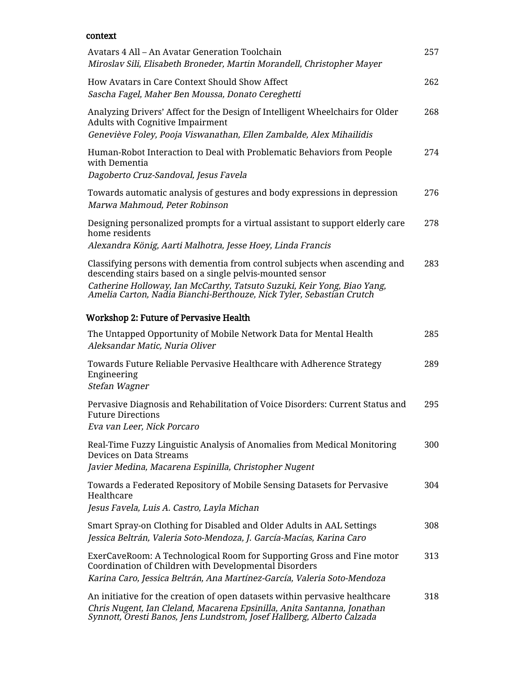### context

| Avatars 4 All – An Avatar Generation Toolchain<br>Miroslav Sili, Elisabeth Broneder, Martin Morandell, Christopher Mayer                                                                                                                                                                   | 257 |
|--------------------------------------------------------------------------------------------------------------------------------------------------------------------------------------------------------------------------------------------------------------------------------------------|-----|
| How Avatars in Care Context Should Show Affect<br>Sascha Fagel, Maher Ben Moussa, Donato Cereghetti                                                                                                                                                                                        | 262 |
| Analyzing Drivers' Affect for the Design of Intelligent Wheelchairs for Older<br><b>Adults with Cognitive Impairment</b><br>Geneviève Foley, Pooja Viswanathan, Ellen Zambalde, Alex Mihailidis                                                                                            | 268 |
| Human-Robot Interaction to Deal with Problematic Behaviors from People<br>with Dementia<br>Dagoberto Cruz-Sandoval, Jesus Favela                                                                                                                                                           | 274 |
| Towards automatic analysis of gestures and body expressions in depression<br>Marwa Mahmoud, Peter Robinson                                                                                                                                                                                 | 276 |
| Designing personalized prompts for a virtual assistant to support elderly care<br>home residents                                                                                                                                                                                           | 278 |
| Alexandra König, Aarti Malhotra, Jesse Hoey, Linda Francis                                                                                                                                                                                                                                 |     |
| Classifying persons with dementia from control subjects when ascending and<br>descending stairs based on a single pelvis-mounted sensor<br>Catherine Holloway, Ian McCarthy, Tatsuto Suzuki, Keir Yong, Biao Yang,<br>Amelia Carton, Nadia Bianchi-Berthouze, Nick Tyler, Sebastian Crutch | 283 |
| Workshop 2: Future of Pervasive Health                                                                                                                                                                                                                                                     |     |
| The Untapped Opportunity of Mobile Network Data for Mental Health<br>Aleksandar Matic, Nuria Oliver                                                                                                                                                                                        | 285 |
| Towards Future Reliable Pervasive Healthcare with Adherence Strategy<br>Engineering<br>Stefan Wagner                                                                                                                                                                                       | 289 |
| Pervasive Diagnosis and Rehabilitation of Voice Disorders: Current Status and<br><b>Future Directions</b><br>Eva van Leer, Nick Porcaro                                                                                                                                                    | 295 |
| Real-Time Fuzzy Linguistic Analysis of Anomalies from Medical Monitoring<br>Devices on Data Streams<br>Javier Medina, Macarena Espinilla, Christopher Nugent                                                                                                                               | 300 |
| Towards a Federated Repository of Mobile Sensing Datasets for Pervasive<br>Healthcare<br>Jesus Favela, Luis A. Castro, Layla Michan                                                                                                                                                        | 304 |
| Smart Spray-on Clothing for Disabled and Older Adults in AAL Settings<br>Jessica Beltrán, Valeria Soto-Mendoza, J. García-Macías, Karina Caro                                                                                                                                              | 308 |
| ExerCaveRoom: A Technological Room for Supporting Gross and Fine motor<br>Coordination of Children with Developmental Disorders<br>Karina Caro, Jessica Beltrán, Ana Martínez-García, Valeria Soto-Mendoza                                                                                 | 313 |
| An initiative for the creation of open datasets within pervasive healthcare<br>Chris Nugent, Ian Cleland, Macarena Epsinilla, Anita Santanna, Jonathan<br>Synnott, Oresti Banos, Jens Lundstrom, Josef Hallberg, Alberto Calzada                                                           | 318 |